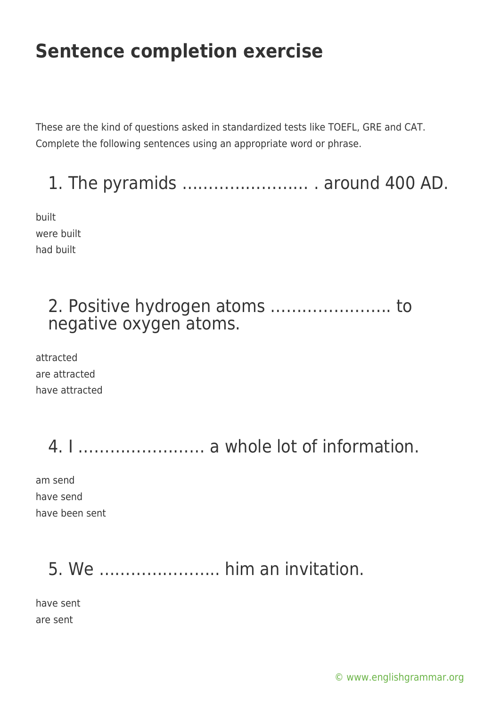### **Sentence completion exercise**

These are the kind of questions asked in standardized tests like TOEFL, GRE and CAT. Complete the following sentences using an appropriate word or phrase.

1. The pyramids …………………… . around 400 AD.

built were built had built

#### 2. Positive hydrogen atoms ………………….. to negative oxygen atoms.

attracted are attracted have attracted

## 4. I …………………… a whole lot of information.

am send have send have been sent

#### 5. We ………………….. him an invitation.

have sent are sent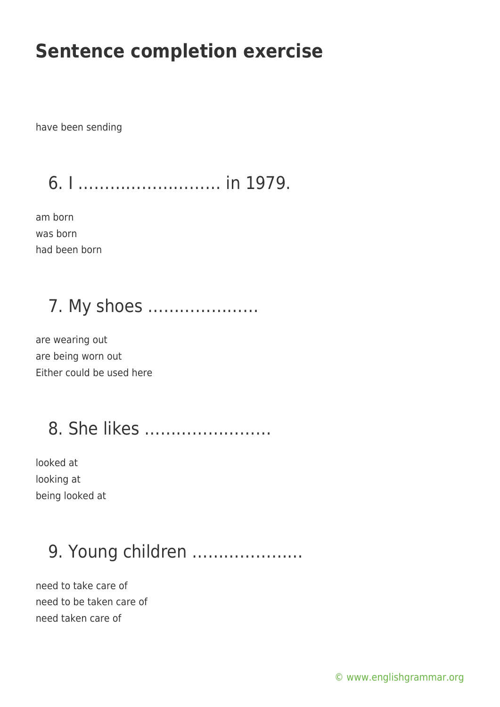#### **Sentence completion exercise**

have been sending

6. I ……………………… in 1979.

am born was born had been born

## 7. My shoes …………………

are wearing out are being worn out Either could be used here

## 8. She likes ……………………

looked at looking at being looked at

## 9. Young children …………………

need to take care of need to be taken care of need taken care of